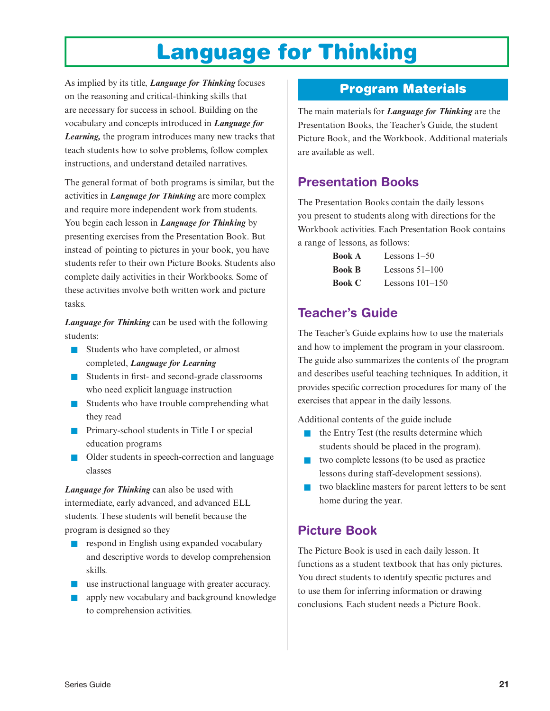# **Language for Thinking**

As implied by its title, *Language for Thinking* focuses on the reasoning and critical-thinking skills that are necessary for success in school. Building on the vocabulary and concepts introduced in *Language for Learning,* the program introduces many new tracks that teach students how to solve problems, follow complex instructions, and understand detailed narratives.

The general format of both programs is similar, but the activities in *Language for Thinking* are more complex and require more independent work from students. You begin each lesson in *Language for Thinking* by presenting exercises from the Presentation Book. But instead of pointing to pictures in your book, you have students refer to their own Picture Books. Students also complete daily activities in their Workbooks. Some of these activities involve both written work and picture tasks.

*Language for Thinking* can be used with the following students:

- Students who have completed, or almost completed, *Language for Learning*
- Students in first- and second-grade classrooms who need explicit language instruction
- Students who have trouble comprehending what they read
- Primary-school students in Title I or special education programs
- Older students in speech-correction and language classes

*Language for Thinking* can also be used with intermediate, early advanced, and advanced ELL students. These students will benefit because the program is designed so they

- respond in English using expanded vocabulary and descriptive words to develop comprehension skills.
- use instructional language with greater accuracy.
- apply new vocabulary and background knowledge to comprehension activities.

## **Program Materials**

The main materials for *Language for Thinking* are the Presentation Books, the Teacher's Guide, the student Picture Book, and the Workbook. Additional materials are available as well.

#### **Presentation Books**

The Presentation Books contain the daily lessons you present to students along with directions for the Workbook activities. Each Presentation Book contains a range of lessons, as follows:

| <b>Book A</b> | Lessons $1-50$    |
|---------------|-------------------|
| <b>Book B</b> | Lessons $51-100$  |
| <b>Book C</b> | Lessons $101-150$ |

#### **Teacher's Guide**

The Teacher's Guide explains how to use the materials and how to implement the program in your classroom. The guide also summarizes the contents of the program and describes useful teaching techniques. In addition, it provides specific correction procedures for many of the exercises that appear in the daily lessons.

Additional contents of the guide include

- the Entry Test (the results determine which students should be placed in the program).
- two complete lessons (to be used as practice lessons during staff-development sessions).
- two blackline masters for parent letters to be sent home during the year.

#### **Picture Book**

The Picture Book is used in each daily lesson. It functions as a student textbook that has only pictures. You direct students to identify specific pictures and to use them for inferring information or drawing conclusions. Each student needs a Picture Book.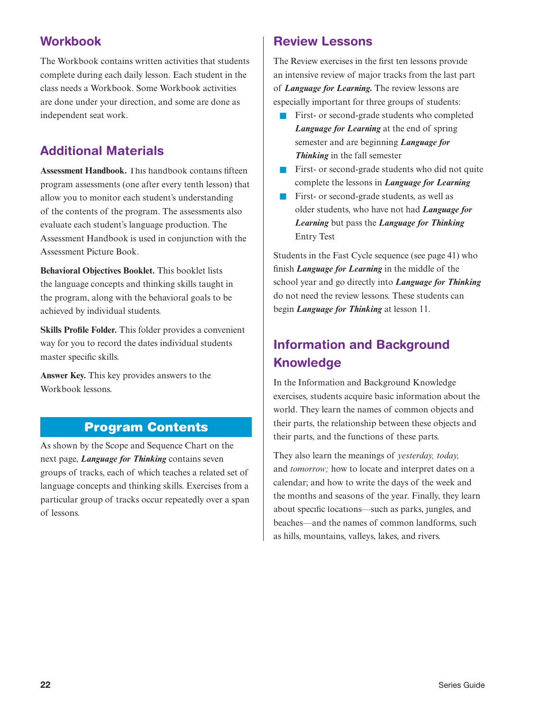#### **Workbook**

The Workbook contains written activities that students complete during each daily lesson. Each student in the class needs a Workbook. Some Workbook activities are done under your direction, and some are done as independent seat work.

#### **Additional Materials**

**Assessment Handbook.** This handbook contains fifteen program assessments (one after every tenth lesson) that allow you to monitor each student's understanding of the contents of the program. The assessments also evaluate each student's language production. The Assessment Handbook is used in conjunction with the Assessment Picture Book.

**Behavioral Objectives Booklet.** This booklet lists the language concepts and thinking skills taught in the program, along with the behavioral goals to be achieved by individual students.

**Skills Profile Folder.** This folder provides a convenient way for you to record the dates individual students master specific skills.

**Answer Key.** This key provides answers to the Workbook lessons.

As shown by the Scope and Sequence Chart on the next page, *Language for Thinking* contains seven groups of tracks, each of which teaches a related set of language concepts and thinking skills. Exercises from a particular group of tracks occur repeatedly over a span of lessons.

#### **Review Lessons**

The Review exercises in the first ten lessons provide an intensive review of major tracks from the last part of *Language for Learning.* The review lessons are especially important for three groups of students:

- First- or second-grade students who completed *Language for Learning* at the end of spring semester and are beginning *Language for Thinking* in the fall semester
- First- or second-grade students who did not quite complete the lessons in *Language for Learning*
- First- or second-grade students, as well as older students, who have not had *Language for Learning* but pass the *Language for Thinking* Entry Test

Students in the Fast Cycle sequence (see page 41) who finish *Language for Learning* in the middle of the school year and go directly into *Language for Thinking* do not need the review lessons. These students can begin *Language for Thinking* at lesson 11.

### **Information and Background Knowledge**

In the Information and Background Knowledge exercises, students acquire basic information about the world. They learn the names of common objects and their parts, the relationship between these objects and their parts, and the functions of these parts.

They also learn the meanings of *yesterday, today,* and *tomorrow;* how to locate and interpret dates on a calendar; and how to write the days of the week and the months and seasons of the year. Finally, they learn about specific locations—such as parks, jungles, and beaches—and the names of common landforms, such as hills, mountains, valleys, lakes, and rivers.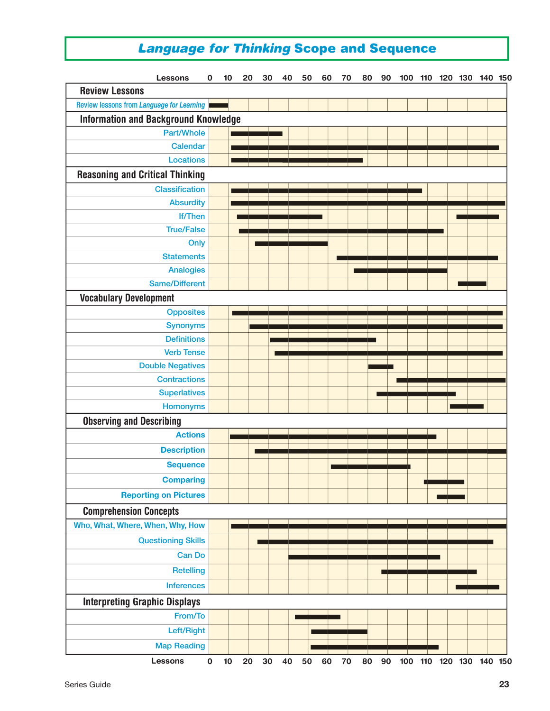## *Language for Thinking* **Scope and Sequence**

| <b>Lessons</b>                                   |                       | 0         | 10 | 20 | 30 | 40 | 50 | 60 | 70 | 80 | 90 | 100 | 110 | 120 130 140 150     |  |  |
|--------------------------------------------------|-----------------------|-----------|----|----|----|----|----|----|----|----|----|-----|-----|---------------------|--|--|
| <b>Review Lessons</b>                            |                       |           |    |    |    |    |    |    |    |    |    |     |     |                     |  |  |
| <b>Review lessons from Language for Learning</b> |                       |           |    |    |    |    |    |    |    |    |    |     |     |                     |  |  |
| <b>Information and Background Knowledge</b>      |                       |           |    |    |    |    |    |    |    |    |    |     |     |                     |  |  |
|                                                  | Part/Whole            |           |    |    |    |    |    |    |    |    |    |     |     |                     |  |  |
|                                                  | <b>Calendar</b>       |           |    |    |    |    |    |    |    |    |    |     |     |                     |  |  |
|                                                  | <b>Locations</b>      |           |    |    |    |    |    |    |    |    |    |     |     |                     |  |  |
| <b>Reasoning and Critical Thinking</b>           |                       |           |    |    |    |    |    |    |    |    |    |     |     |                     |  |  |
|                                                  | <b>Classification</b> |           |    |    |    |    |    |    |    |    |    |     |     |                     |  |  |
|                                                  | <b>Absurdity</b>      |           |    |    |    |    |    |    |    |    |    |     |     |                     |  |  |
|                                                  | <b>If/Then</b>        |           |    |    |    |    |    |    |    |    |    |     |     |                     |  |  |
|                                                  | <b>True/False</b>     |           |    |    |    |    |    |    |    |    |    |     |     |                     |  |  |
|                                                  | Only                  |           |    |    |    |    |    |    |    |    |    |     |     |                     |  |  |
|                                                  | <b>Statements</b>     |           |    |    |    |    |    |    |    |    |    |     |     |                     |  |  |
|                                                  | <b>Analogies</b>      |           |    |    |    |    |    |    |    |    |    |     |     |                     |  |  |
|                                                  | <b>Same/Different</b> |           |    |    |    |    |    |    |    |    |    |     |     |                     |  |  |
| <b>Vocabulary Development</b>                    |                       |           |    |    |    |    |    |    |    |    |    |     |     |                     |  |  |
|                                                  | <b>Opposites</b>      |           |    |    |    |    |    |    |    |    |    |     |     |                     |  |  |
|                                                  | <b>Synonyms</b>       |           |    |    |    |    |    |    |    |    |    |     |     |                     |  |  |
|                                                  | <b>Definitions</b>    |           |    |    |    |    |    |    |    |    |    |     |     |                     |  |  |
|                                                  | <b>Verb Tense</b>     |           |    |    |    |    |    |    |    |    |    |     |     |                     |  |  |
| <b>Double Negatives</b>                          |                       |           |    |    |    |    |    |    |    |    |    |     |     |                     |  |  |
|                                                  | <b>Contractions</b>   |           |    |    |    |    |    |    |    |    |    |     |     |                     |  |  |
|                                                  | <b>Superlatives</b>   |           |    |    |    |    |    |    |    |    |    |     |     |                     |  |  |
|                                                  | <b>Homonyms</b>       |           |    |    |    |    |    |    |    |    |    |     |     |                     |  |  |
| <b>Observing and Describing</b>                  |                       |           |    |    |    |    |    |    |    |    |    |     |     |                     |  |  |
|                                                  | <b>Actions</b>        |           |    |    |    |    |    |    |    |    |    |     |     |                     |  |  |
|                                                  | <b>Description</b>    |           |    |    |    |    |    |    |    |    |    |     |     |                     |  |  |
|                                                  | <b>Sequence</b>       |           |    |    |    |    |    |    |    |    |    |     |     |                     |  |  |
|                                                  | <b>Comparing</b>      |           |    |    |    |    |    |    |    |    |    |     |     |                     |  |  |
| <b>Reporting on Pictures</b>                     |                       |           |    |    |    |    |    |    |    |    |    |     |     |                     |  |  |
| <b>Comprehension Concepts</b>                    |                       |           |    |    |    |    |    |    |    |    |    |     |     |                     |  |  |
| Who, What, Where, When, Why, How                 |                       |           |    |    |    |    |    |    |    |    |    |     |     |                     |  |  |
|                                                  |                       |           |    |    |    |    |    |    |    |    |    |     |     |                     |  |  |
| <b>Questioning Skills</b>                        |                       |           |    |    |    |    |    |    |    |    |    |     |     |                     |  |  |
|                                                  | <b>Can Do</b>         |           |    |    |    |    |    |    |    |    |    |     |     |                     |  |  |
|                                                  | <b>Retelling</b>      |           |    |    |    |    |    |    |    |    |    |     |     |                     |  |  |
|                                                  | <b>Inferences</b>     |           |    |    |    |    |    |    |    |    |    |     |     |                     |  |  |
| <b>Interpreting Graphic Displays</b>             |                       |           |    |    |    |    |    |    |    |    |    |     |     |                     |  |  |
|                                                  | From/To               |           |    |    |    |    |    |    |    |    |    |     |     |                     |  |  |
|                                                  | Left/Right            |           |    |    |    |    |    |    |    |    |    |     |     |                     |  |  |
|                                                  | <b>Map Reading</b>    |           |    |    |    |    |    |    |    |    |    |     |     |                     |  |  |
| <b>Lessons</b>                                   |                       | $\pmb{0}$ | 10 | 20 | 30 | 40 | 50 | 60 | 70 | 80 | 90 | 100 |     | 110 120 130 140 150 |  |  |